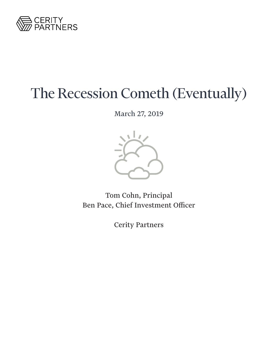

# The Recession Cometh (Eventually)

March 27, 2019



Tom Cohn, Principal Ben Pace, Chief Investment Officer

Cerity Partners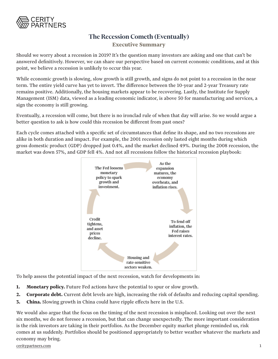

## **The Recession Cometh (Eventually)**

**Executive Summary**

Should we worry about a recession in 2019? It's the question many investors are asking and one that can't be answered definitively. However, we can share our perspective based on current economic conditions, and at this point, we believe a recession is unlikely to occur this year.

While economic growth is slowing, slow growth is still growth, and signs do not point to a recession in the near term. The entire yield curve has yet to invert. The difference between the 10-year and 2-year Treasury rate remains positive. Additionally, the housing markets appear to be recovering. Lastly, the Institute for Supply Management (ISM) data, viewed as a leading economic indicator, is above 50 for manufacturing and services, a sign the economy is still growing.

Eventually, a recession will come, but there is no ironclad rule of when that day will arise. So we would argue a better question to ask is how could this recession be different from past ones?

Each cycle comes attached with a specific set of circumstances that define its shape, and no two recessions are alike in both duration and impact. For example, the 2001 recession only lasted eight months during which gross domestic product (GDP) dropped just 0.4%, and the market declined 49%. During the 2008 recession, the market was down 57%, and GDP fell 4%. And not all recessions follow the historical recession playbook:



To help assess the potential impact of the next recession, watch for developments in:

- **1. Monetary policy.** Future Fed actions have the potential to spur or slow growth.
- **2. Corporate debt.** Current debt levels are high, increasing the risk of defaults and reducing capital spending.
- **3. China.** Slowing growth in China could have ripple effects here in the U.S.

We would also argue that the focus on the timing of the next recession is misplaced. Looking out over the next six months, we do not foresee a recession, but that can change unexpectedly. The more important consideration is the risk investors are taking in their portfolios. As the December equity market plunge reminded us, risk comes at us suddenly. Portfolios should be positioned appropriately to better weather whatever the markets and economy may bring.

[ceritypartners.com](www.ceritypartners.com)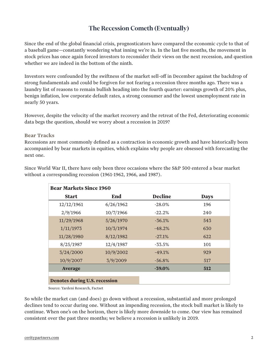# **The Recession Cometh (Eventually)**

Since the end of the global financial crisis, prognosticators have compared the economic cycle to that of a baseball game—constantly wondering what inning we're in. In the last five months, the movement in stock prices has once again forced investors to reconsider their views on the next recession, and question whether we are indeed in the bottom of the ninth.

Investors were confounded by the swiftness of the market sell-off in December against the backdrop of strong fundamentals and could be forgiven for not fearing a recession three months ago. There was a laundry list of reasons to remain bullish heading into the fourth quarter: earnings growth of 20% plus, benign inflation, low corporate default rates, a strong consumer and the lowest unemployment rate in nearly 50 years.

However, despite the velocity of the market recovery and the retreat of the Fed, deteriorating economic data begs the question, should we worry about a recession in 2019?

#### **Bear Tracks**

Recessions are most commonly defined as a contraction in economic growth and have historically been accompanied by bear markets in equities, which explains why people are obsessed with forecasting the next one.

| <b>Bear Markets Since 1960</b>       |           |                |             |
|--------------------------------------|-----------|----------------|-------------|
| <b>Start</b>                         | End       | <b>Decline</b> | <b>Days</b> |
| 12/12/1961                           | 6/26/1962 | $-28.0\%$      | 196         |
| 2/9/1966                             | 10/7/1966 | $-22.2%$       | 240         |
| 11/29/1968                           | 5/26/1970 | $-36.1%$       | 543         |
| 1/11/1973                            | 10/3/1974 | $-48.2%$       | 630         |
| 11/28/1980                           | 8/12/1982 | $-27.1%$       | 622         |
| 8/25/1987                            | 12/4/1987 | $-33.5%$       | 101         |
| 3/24/2000                            | 10/9/2002 | $-49.1%$       | 929         |
| 10/9/2007                            | 3/9/2009  | $-56.8%$       | 517         |
| <b>Average</b>                       |           | $-39.0\%$      | 512         |
|                                      |           |                |             |
| <b>Denotes during U.S. recession</b> |           |                |             |

Since World War II, there have only been three occasions where the S&P 500 entered a bear market without a corresponding recession (1961-1962, 1966, and 1987).

Source: Yardeni Research, Factset

So while the market can (and does) go down without a recession, substantial and more prolonged declines tend to occur during one. Without an impending recession, the stock bull market is likely to continue. When one's on the horizon, there is likely more downside to come. Our view has remained consistent over the past three months; we believe a recession is unlikely in 2019.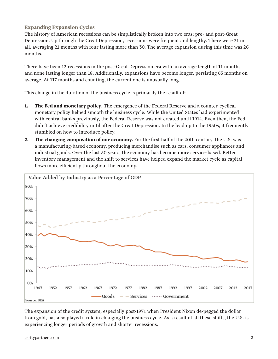## **Expanding Expansion Cycles**

The history of American recessions can be simplistically broken into two eras: pre- and post-Great Depression. Up through the Great Depression, recessions were frequent and lengthy. There were 21 in all, averaging 21 months with four lasting more than 30. The average expansion during this time was 26 months.

There have been 12 recessions in the post-Great Depression era with an average length of 11 months and none lasting longer than 18. Additionally, expansions have become longer, persisting 65 months on average. At 117 months and counting, the current one is unusually long.

This change in the duration of the business cycle is primarily the result of:

- **1. The Fed and monetary policy**. The emergence of the Federal Reserve and a counter-cyclical monetary policy helped smooth the business cycle. While the United States had experimented with central banks previously, the Federal Reserve was not created until 1914. Even then, the Fed didn't achieve credibility until after the Great Depression. In the lead up to the 1930s, it frequently stumbled on how to introduce policy.
- **2. The changing composition of our economy.** For the first half of the 20th century, the U.S. was a manufacturing-based economy, producing merchandise such as cars, consumer appliances and industrial goods. Over the last 50 years, the economy has become more service-based. Better inventory management and the shift to services have helped expand the market cycle as capital flows more efficiently throughout the economy.



The expansion of the credit system, especially post-1971 when President Nixon de-pegged the dollar from gold, has also played a role in changing the business cycle. As a result of all these shifts, the U.S. is experiencing longer periods of growth and shorter recessions.

#### [ceritypartners.com](www.ceritypartners.com)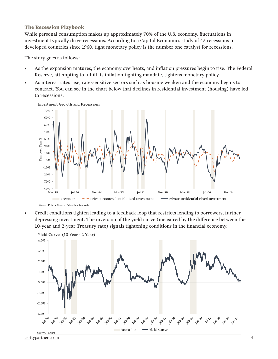### **The Recession Playbook**

While personal consumption makes up approximately 70% of the U.S. economy, fluctuations in investment typically drive recessions. According to a Capital Economics study of 45 recessions in developed countries since 1960, tight monetary policy is the number one catalyst for recessions.

The story goes as follows:

- As the expansion matures, the economy overheats, and inflation pressures begin to rise. The Federal Reserve, attempting to fulfill its inflation-fighting mandate, tightens monetary policy.
- As interest rates rise, rate-sensitive sectors such as housing weaken and the economy begins to contract. You can see in the chart below that declines in residential investment (housing) have led to recessions.



• Credit conditions tighten leading to a feedback loop that restricts lending to borrowers, further depressing investment. The inversion of the yield curve (measured by the difference between the 10-year and 2-year Treasury rate) signals tightening conditions in the financial economy.

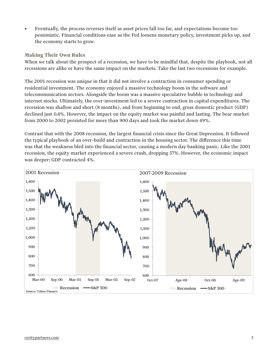• Eventually, the process reverses itself as asset prices fall too far, and expectations become too pessimistic. Financial conditions ease as the Fed loosens monetary policy, investment picks up, and the economy starts to grow.

#### **Making Their Own Rules**

When we talk about the prospect of a recession, we have to be mindful that, despite the playbook, not all recessions are alike or have the same impact on the markets. Take the last two recessions for example.

The 2001 recession was unique in that it did not involve a contraction in consumer spending or residential investment. The economy enjoyed a massive technology boom in the software and telecommunication sectors. Alongside the boom was a massive speculative bubble in technology and internet stocks. Ultimately, the over-investment led to a severe contraction in capital expenditures. The recession was shallow and short (8 months), and from beginning to end, gross domestic product (GDP) declined just 0.4%. However, the impact on the equity market was painful and lasting. The bear market from 2000 to 2002 persisted for more than 900 days and took the market down 49%.

Contrast that with the 2008 recession, the largest financial crisis since the Great Depression. It followed the typical playbook of an over-build and contraction in the housing sector. The difference this time was that the weakness bled into the financial sector, causing a modern day banking panic. Like the 2001 recession, the equity market experienced a severe crash, dropping 57%. However, the economic impact was deeper; GDP contracted 4%.

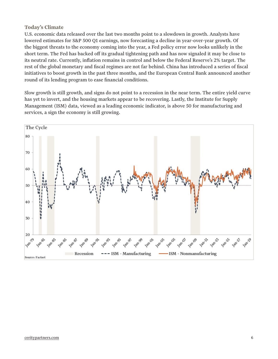### **Today's Climate**

U.S. economic data released over the last two months point to a slowdown in growth. Analysts have lowered estimates for S&P 500 Q1 earnings, now forecasting a decline in year-over-year growth. Of the biggest threats to the economy coming into the year, a Fed policy error now looks unlikely in the short term. The Fed has backed off its gradual tightening path and has now signaled it may be close to its neutral rate. Currently, inflation remains in control and below the Federal Reserve's 2% target. The rest of the global monetary and fiscal regimes are not far behind. China has introduced a series of fiscal initiatives to boost growth in the past three months, and the European Central Bank announced another round of its lending program to ease financial conditions.

Slow growth is still growth, and signs do not point to a recession in the near term. The entire yield curve has yet to invert, and the housing markets appear to be recovering. Lastly, the Institute for Supply Management (ISM) data, viewed as a leading economic indicator, is above 50 for manufacturing and services, a sign the economy is still growing.

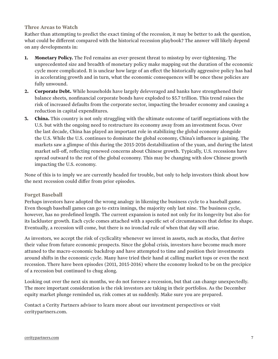#### **Three Areas to Watch**

Rather than attempting to predict the exact timing of the recession, it may be better to ask the question, what could be different compared with the historical recession playbook? The answer will likely depend on any developments in:

- **1. Monetary Policy.** The Fed remains an ever-present threat to misstep by over-tightening. The unprecedented size and breadth of monetary policy make mapping out the duration of the economic cycle more complicated. It is unclear how large of an effect the historically aggressive policy has had in accelerating growth and in turn, what the economic consequences will be once these policies are fully unwound.
- **2. Corporate Debt.** While households have largely deleveraged and banks have strengthened their balance sheets, nonfinancial corporate bonds have exploded to \$5.7 trillion. This trend raises the risk of increased defaults from the corporate sector, impacting the broader economy and causing a reduction in capital expenditures.
- **3. China.** This country is not only struggling with the ultimate outcome of tariff negotiations with the U.S. but with the ongoing need to restructure its economy away from an investment focus. Over the last decade, China has played an important role in stabilizing the global economy alongside the U.S. While the U.S. continues to dominate the global economy, China's influence is gaining. The markets saw a glimpse of this during the 2015-2016 destabilization of the yuan, and during the latest market sell-off, reflecting renewed concerns about Chinese growth. Typically, U.S. recessions have spread outward to the rest of the global economy. This may be changing with slow Chinese growth impacting the U.S. economy.

None of this is to imply we are currently headed for trouble, but only to help investors think about how the next recession could differ from prior episodes.

#### **Forget Baseball**

Perhaps investors have adopted the wrong analogy in likening the business cycle to a baseball game. Even though baseball games can go to extra innings, the majority only last nine. The business cycle, however, has no predefined length. The current expansion is noted not only for its longevity but also for its lackluster growth. Each cycle comes attached with a specific set of circumstances that define its shape. Eventually, a recession will come, but there is no ironclad rule of when that day will arise.

As investors, we accept the risk of cyclicality whenever we invest in assets, such as stocks, that derive their value from future economic prospects. Since the global crisis, investors have become much more attuned to the macro-economic backdrop and have attempted to time and position their investments around shifts in the economic cycle. Many have tried their hand at calling market tops or even the next recession. There have been episodes (2011, 2015-2016) where the economy looked to be on the precipice of a recession but continued to chug along.

Looking out over the next six months, we do not foresee a recession, but that can change unexpectedly. The more important consideration is the risk investors are taking in their portfolios. As the December equity market plunge reminded us, risk comes at us suddenly. Make sure you are prepared.

Contact a Cerity Partners advisor to learn more about our investment perspectives or visit ceritypartners.com.